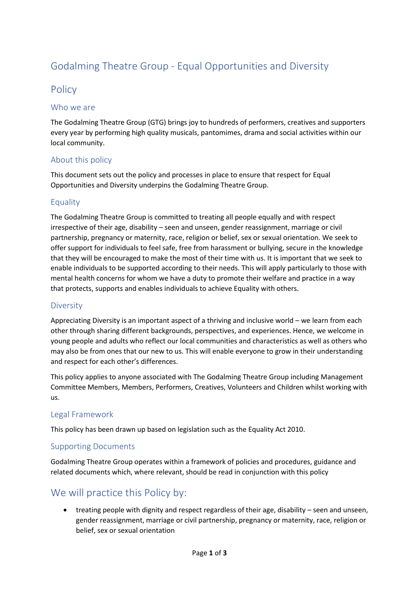# Godalming Theatre Group - Equal Opportunities and Diversity

### **Policy**

#### Who we are

The Godalming Theatre Group (GTG) brings joy to hundreds of performers, creatives and supporters every year by performing high quality musicals, pantomimes, drama and social activities within our local community.

#### About this policy

This document sets out the policy and processes in place to ensure that respect for Equal Opportunities and Diversity underpins the Godalming Theatre Group.

### **Equality**

The Godalming Theatre Group is committed to treating all people equally and with respect irrespective of their age, disability – seen and unseen, gender reassignment, marriage or civil partnership, pregnancy or maternity, race, religion or belief, sex or sexual orientation. We seek to offer support for individuals to feel safe, free from harassment or bullying, secure in the knowledge that they will be encouraged to make the most of their time with us. It is important that we seek to enable individuals to be supported according to their needs. This will apply particularly to those with mental health concerns for whom we have a duty to promote their welfare and practice in a way that protects, supports and enables individuals to achieve Equality with others.

#### **Diversity**

Appreciating Diversity is an important aspect of a thriving and inclusive world – we learn from each other through sharing different backgrounds, perspectives, and experiences. Hence, we welcome in young people and adults who reflect our local communities and characteristics as well as others who may also be from ones that our new to us. This will enable everyone to grow in their understanding and respect for each other's differences.

This policy applies to anyone associated with The Godalming Theatre Group including Management Committee Members, Members, Performers, Creatives, Volunteers and Children whilst working with us.

#### Legal Framework

This policy has been drawn up based on legislation such as the Equality Act 2010.

#### Supporting Documents

Godalming Theatre Group operates within a framework of policies and procedures, guidance and related documents which, where relevant, should be read in conjunction with this policy

### We will practice this Policy by:

• treating people with dignity and respect regardless of their age, disability – seen and unseen, gender reassignment, marriage or civil partnership, pregnancy or maternity, race, religion or belief, sex or sexual orientation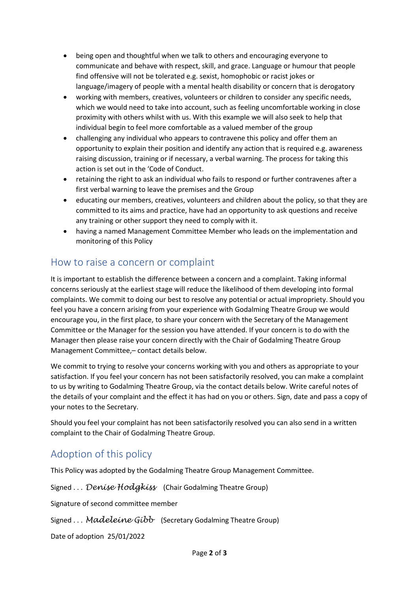- being open and thoughtful when we talk to others and encouraging everyone to communicate and behave with respect, skill, and grace. Language or humour that people find offensive will not be tolerated e.g. sexist, homophobic or racist jokes or language/imagery of people with a mental health disability or concern that is derogatory
- working with members, creatives, volunteers or children to consider any specific needs, which we would need to take into account, such as feeling uncomfortable working in close proximity with others whilst with us. With this example we will also seek to help that individual begin to feel more comfortable as a valued member of the group
- challenging any individual who appears to contravene this policy and offer them an opportunity to explain their position and identify any action that is required e.g. awareness raising discussion, training or if necessary, a verbal warning. The process for taking this action is set out in the 'Code of Conduct.
- retaining the right to ask an individual who fails to respond or further contravenes after a first verbal warning to leave the premises and the Group
- educating our members, creatives, volunteers and children about the policy, so that they are committed to its aims and practice, have had an opportunity to ask questions and receive any training or other support they need to comply with it.
- having a named Management Committee Member who leads on the implementation and monitoring of this Policy

### How to raise a concern or complaint

It is important to establish the difference between a concern and a complaint. Taking informal concerns seriously at the earliest stage will reduce the likelihood of them developing into formal complaints. We commit to doing our best to resolve any potential or actual impropriety. Should you feel you have a concern arising from your experience with Godalming Theatre Group we would encourage you, in the first place, to share your concern with the Secretary of the Management Committee or the Manager for the session you have attended. If your concern is to do with the Manager then please raise your concern directly with the Chair of Godalming Theatre Group Management Committee,– contact details below.

We commit to trying to resolve your concerns working with you and others as appropriate to your satisfaction. If you feel your concern has not been satisfactorily resolved, you can make a complaint to us by writing to Godalming Theatre Group, via the contact details below. Write careful notes of the details of your complaint and the effect it has had on you or others. Sign, date and pass a copy of your notes to the Secretary.

Should you feel your complaint has not been satisfactorily resolved you can also send in a written complaint to the Chair of Godalming Theatre Group.

## Adoption of this policy

This Policy was adopted by the Godalming Theatre Group Management Committee.

Signed . . . *Denise Hodgkiss* (Chair Godalming Theatre Group) Signature of second committee member Signed . . . *Madeleine Gibb* (Secretary Godalming Theatre Group) Date of adoption 25/01/2022